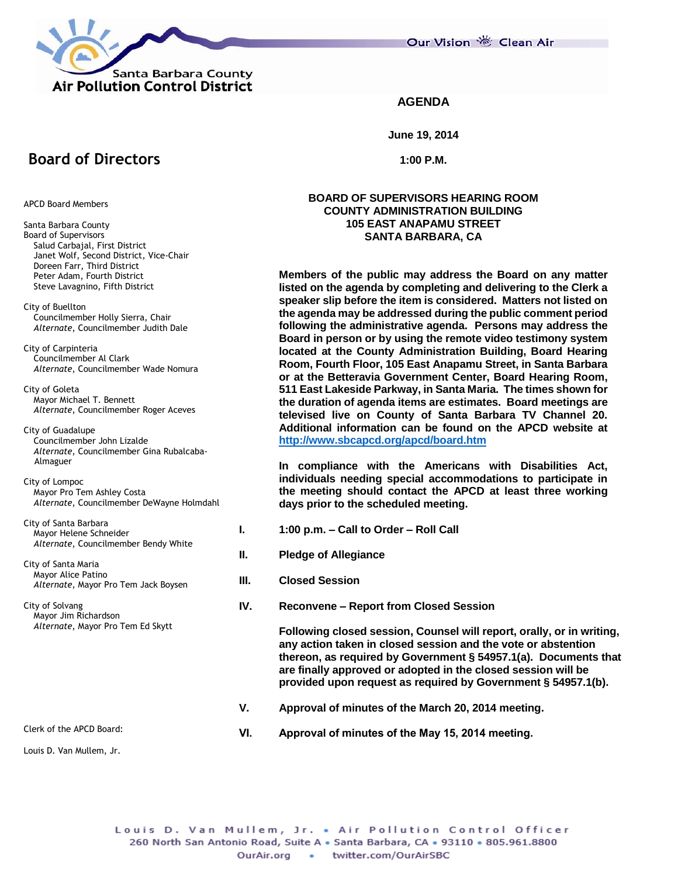

Our Vision 卷 Clean Air

### **AGENDA**

**June 19, 2014**

**1:00 P.M.**

#### **BOARD OF SUPERVISORS HEARING ROOM COUNTY ADMINISTRATION BUILDING 105 EAST ANAPAMU STREET SANTA BARBARA, CA**

**Members of the public may address the Board on any matter listed on the agenda by completing and delivering to the Clerk a speaker slip before the item is considered. Matters not listed on the agenda may be addressed during the public comment period following the administrative agenda. Persons may address the Board in person or by using the remote video testimony system located at the County Administration Building, Board Hearing Room, Fourth Floor, 105 East Anapamu Street, in Santa Barbara or at the Betteravia Government Center, Board Hearing Room, 511 East Lakeside Parkway, in Santa Maria. The times shown for the duration of agenda items are estimates. Board meetings are televised live on County of Santa Barbara TV Channel 20. Additional information can be found on the APCD website at <http://www.sbcapcd.org/apcd/board.htm>**

**In compliance with the Americans with Disabilities Act, individuals needing special accommodations to participate in the meeting should contact the APCD at least three working days prior to the scheduled meeting.**

- **I. 1:00 p.m. – Call to Order – Roll Call**
- **II. Pledge of Allegiance**
- **III. Closed Session**
- **IV. Reconvene – Report from Closed Session**

**Following closed session, Counsel will report, orally, or in writing, any action taken in closed session and the vote or abstention thereon, as required by Government § 54957.1(a). Documents that are finally approved or adopted in the closed session will be provided upon request as required by Government § 54957.1(b).**

- **V. Approval of minutes of the March 20, 2014 meeting.**
- **VI. Approval of minutes of the May 15, 2014 meeting.**

Louis D. Van Mullem, Jr.

Louis D. Van Mullem, Jr. . Air Pollution Control Officer 260 North San Antonio Road, Suite A . Santa Barbara, CA . 93110 . 805.961.8800 • twitter.com/OurAirSBC OurAir.org

**Board of Directors**

APCD Board Members

- Santa Barbara County Board of Supervisors Salud Carbajal, First District Janet Wolf, Second District, Vice-Chair Doreen Farr, Third District Peter Adam, Fourth District Steve Lavagnino, Fifth District
- City of Buellton Councilmember Holly Sierra, Chair *Alternate*, Councilmember Judith Dale

City of Carpinteria Councilmember Al Clark *Alternate*, Councilmember Wade Nomura

City of Goleta Mayor Michael T. Bennett *Alternate*, Councilmember Roger Aceves

City of Guadalupe Councilmember John Lizalde *Alternate*, Councilmember Gina Rubalcaba- Almaguer

#### City of Lompoc Mayor Pro Tem Ashley Costa *Alternate*, Councilmember DeWayne Holmdahl

City of Santa Barbara Mayor Helene Schneider *Alternate*, Councilmember Bendy White

City of Santa Maria Mayor Alice Patino *Alternate*, Mayor Pro Tem Jack Boysen

City of Solvang Mayor Jim Richardson *Alternate*, Mayor Pro Tem Ed Skytt

Clerk of the APCD Board: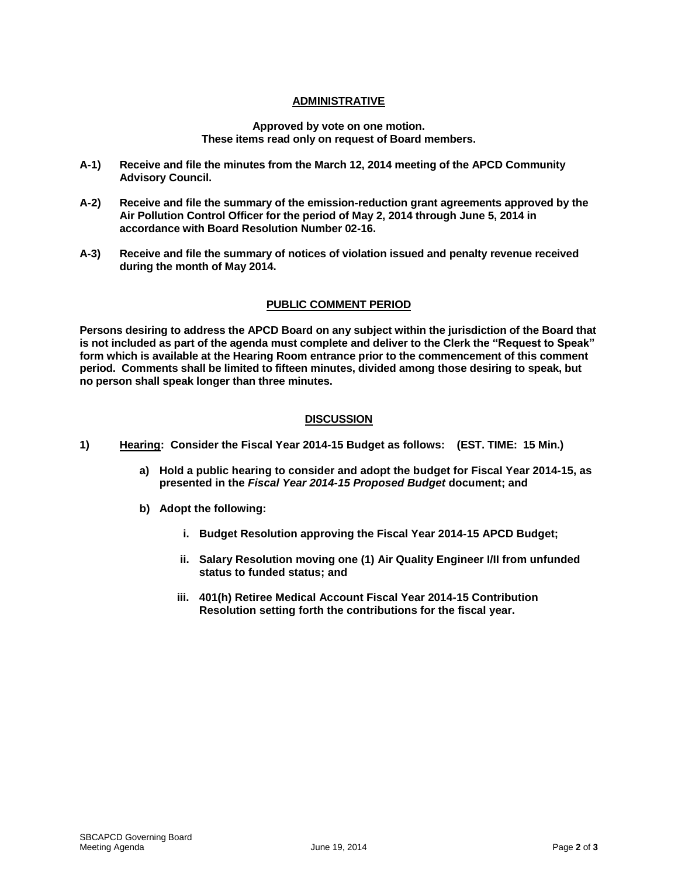# **ADMINISTRATIVE**

#### **Approved by vote on one motion. These items read only on request of Board members.**

- **A-1) Receive and file the minutes from the March 12, 2014 meeting of the APCD Community Advisory Council.**
- **A-2) Receive and file the summary of the emission-reduction grant agreements approved by the Air Pollution Control Officer for the period of May 2, 2014 through June 5, 2014 in accordance with Board Resolution Number 02-16.**
- **A-3) Receive and file the summary of notices of violation issued and penalty revenue received during the month of May 2014.**

# **PUBLIC COMMENT PERIOD**

**Persons desiring to address the APCD Board on any subject within the jurisdiction of the Board that is not included as part of the agenda must complete and deliver to the Clerk the "Request to Speak" form which is available at the Hearing Room entrance prior to the commencement of this comment period. Comments shall be limited to fifteen minutes, divided among those desiring to speak, but no person shall speak longer than three minutes.**

# **DISCUSSION**

- **1) Hearing: Consider the Fiscal Year 2014-15 Budget as follows: (EST. TIME: 15 Min.)**
	- **a) Hold a public hearing to consider and adopt the budget for Fiscal Year 2014-15, as presented in the** *Fiscal Year 2014-15 Proposed Budget* **document; and**
	- **b) Adopt the following:**
		- **i. Budget Resolution approving the Fiscal Year 2014-15 APCD Budget;**
		- **ii. Salary Resolution moving one (1) Air Quality Engineer I/II from unfunded status to funded status; and**
		- **iii. 401(h) Retiree Medical Account Fiscal Year 2014-15 Contribution Resolution setting forth the contributions for the fiscal year.**